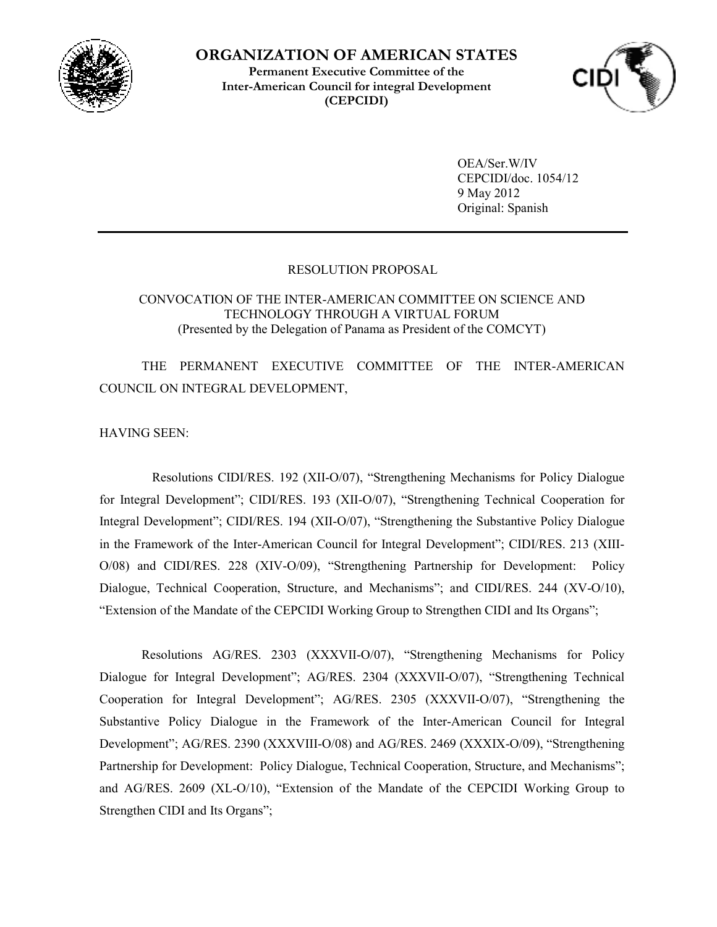

<sup>1</sup> **ORGANIZATION OF AMERICAN STATES Permanent Executive Committee of the Inter-American Council for integral Development (CEPCIDI)** 



OEA/Ser.W/IV CEPCIDI/doc. 1054/12 9 May 2012 Original: Spanish

## RESOLUTION PROPOSAL

CONVOCATION OF THE INTER-AMERICAN COMMITTEE ON SCIENCE AND TECHNOLOGY THROUGH A VIRTUAL FORUM (Presented by the Delegation of Panama as President of the COMCYT)

THE PERMANENT EXECUTIVE COMMITTEE OF THE INTER-AMERICAN COUNCIL ON INTEGRAL DEVELOPMENT,

HAVING SEEN:

 Resolutions CIDI/RES. 192 (XII-O/07), "Strengthening Mechanisms for Policy Dialogue for Integral Development"; CIDI/RES. 193 (XII-O/07), "Strengthening Technical Cooperation for Integral Development"; CIDI/RES. 194 (XII-O/07), "Strengthening the Substantive Policy Dialogue in the Framework of the Inter-American Council for Integral Development"; CIDI/RES. 213 (XIII-O/08) and CIDI/RES. 228 (XIV-O/09), "Strengthening Partnership for Development: Policy Dialogue, Technical Cooperation, Structure, and Mechanisms"; and CIDI/RES. 244 (XV-O/10), "Extension of the Mandate of the CEPCIDI Working Group to Strengthen CIDI and Its Organs";

Resolutions AG/RES. 2303 (XXXVII-O/07), "Strengthening Mechanisms for Policy Dialogue for Integral Development"; AG/RES. 2304 (XXXVII-O/07), "Strengthening Technical Cooperation for Integral Development"; AG/RES. 2305 (XXXVII-O/07), "Strengthening the Substantive Policy Dialogue in the Framework of the Inter-American Council for Integral Development"; AG/RES. 2390 (XXXVIII-O/08) and AG/RES. 2469 (XXXIX-O/09), "Strengthening Partnership for Development: Policy Dialogue, Technical Cooperation, Structure, and Mechanisms"; and AG/RES. 2609 (XL-O/10), "Extension of the Mandate of the CEPCIDI Working Group to Strengthen CIDI and Its Organs";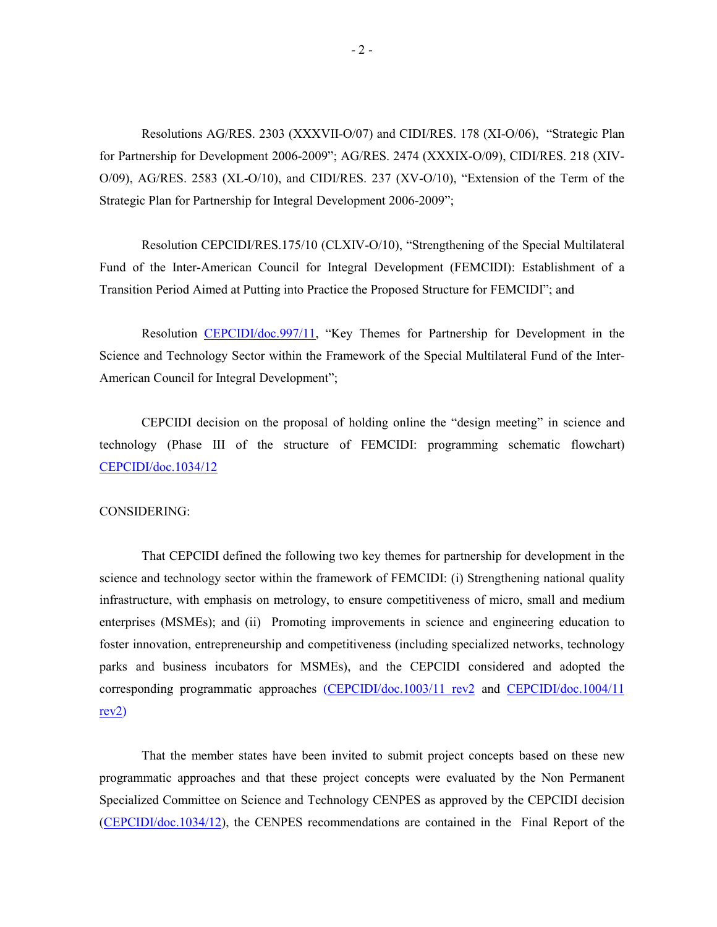Resolutions AG/RES. 2303 (XXXVII-O/07) and CIDI/RES. 178 (XI-O/06), "Strategic Plan for Partnership for Development 2006-2009"; AG/RES. 2474 (XXXIX-O/09), CIDI/RES. 218 (XIV-O/09), AG/RES. 2583 (XL-O/10), and CIDI/RES. 237 (XV-O/10), "Extension of the Term of the Strategic Plan for Partnership for Integral Development 2006-2009";

Resolution CEPCIDI/RES.175/10 (CLXIV-O/10), "Strengthening of the Special Multilateral Fund of the Inter-American Council for Integral Development (FEMCIDI): Establishment of a Transition Period Aimed at Putting into Practice the Proposed Structure for FEMCIDI"; and

Resolution CEPCIDI/doc.997/11, "Key Themes for Partnership for Development in the Science and Technology Sector within the Framework of the Special Multilateral Fund of the Inter-American Council for Integral Development";

CEPCIDI decision on the proposal of holding online the "design meeting" in science and technology (Phase III of the structure of FEMCIDI: programming schematic flowchart) CEPCIDI/doc.1034/12

## CONSIDERING:

That CEPCIDI defined the following two key themes for partnership for development in the science and technology sector within the framework of FEMCIDI: (i) Strengthening national quality infrastructure, with emphasis on metrology, to ensure competitiveness of micro, small and medium enterprises (MSMEs); and (ii) Promoting improvements in science and engineering education to foster innovation, entrepreneurship and competitiveness (including specialized networks, technology parks and business incubators for MSMEs), and the CEPCIDI considered and adopted the corresponding programmatic approaches (CEPCIDI/doc.1003/11 rev2 and CEPCIDI/doc.1004/11 rev2)

That the member states have been invited to submit project concepts based on these new programmatic approaches and that these project concepts were evaluated by the Non Permanent Specialized Committee on Science and Technology CENPES as approved by the CEPCIDI decision (CEPCIDI/doc.1034/12), the CENPES recommendations are contained in the Final Report of the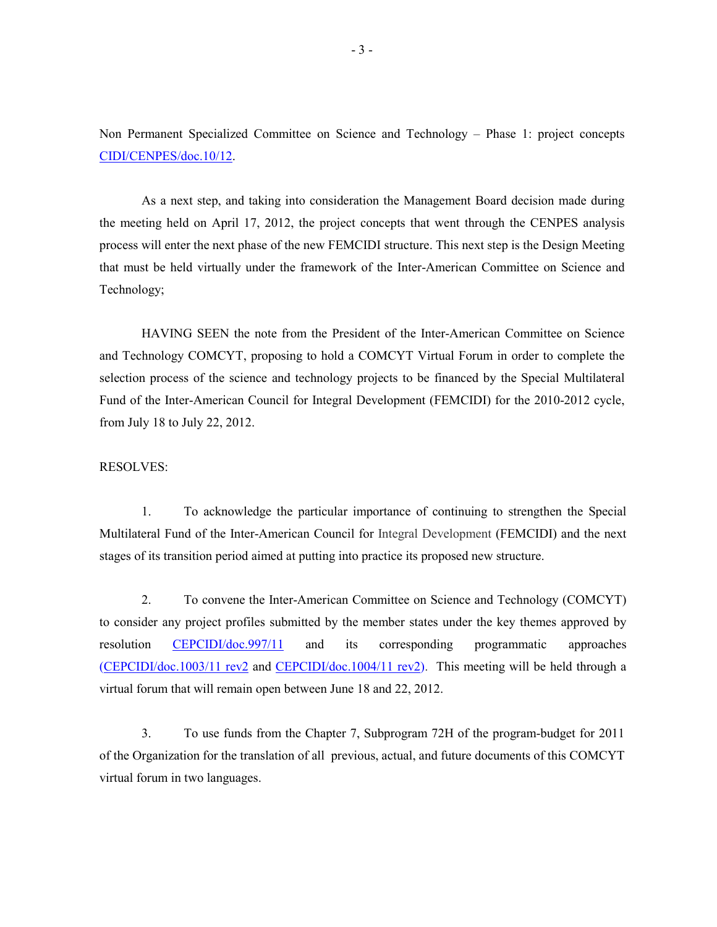Non Permanent Specialized Committee on Science and Technology – Phase 1: project concepts CIDI/CENPES/doc.10/12.

As a next step, and taking into consideration the Management Board decision made during the meeting held on April 17, 2012, the project concepts that went through the CENPES analysis process will enter the next phase of the new FEMCIDI structure. This next step is the Design Meeting that must be held virtually under the framework of the Inter-American Committee on Science and Technology;

HAVING SEEN the note from the President of the Inter-American Committee on Science and Technology COMCYT, proposing to hold a COMCYT Virtual Forum in order to complete the selection process of the science and technology projects to be financed by the Special Multilateral Fund of the Inter-American Council for Integral Development (FEMCIDI) for the 2010-2012 cycle, from July 18 to July 22, 2012.

## RESOLVES:

1. To acknowledge the particular importance of continuing to strengthen the Special Multilateral Fund of the Inter-American Council for Integral Development (FEMCIDI) and the next stages of its transition period aimed at putting into practice its proposed new structure.

2. To convene the Inter-American Committee on Science and Technology (COMCYT) to consider any project profiles submitted by the member states under the key themes approved by resolution CEPCIDI/doc.997/11 and its corresponding programmatic approaches (CEPCIDI/doc.1003/11 rev2 and CEPCIDI/doc.1004/11 rev2). This meeting will be held through a virtual forum that will remain open between June 18 and 22, 2012.

3. To use funds from the Chapter 7, Subprogram 72H of the program-budget for 2011 of the Organization for the translation of all previous, actual, and future documents of this COMCYT virtual forum in two languages.